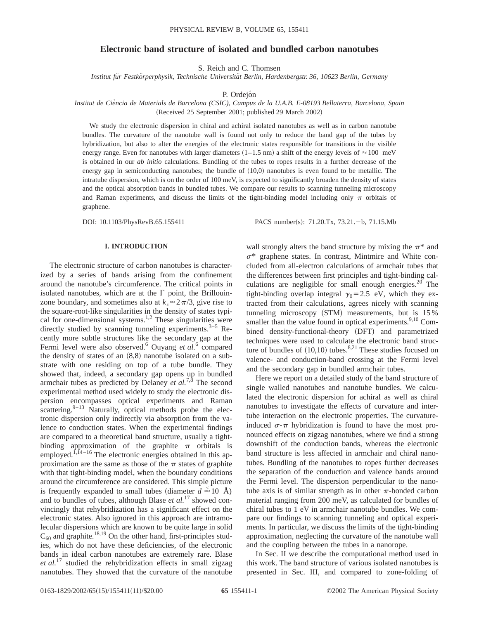# **Electronic band structure of isolated and bundled carbon nanotubes**

S. Reich and C. Thomsen

*Institut fu¨r Festko¨rperphysik, Technische Universita¨t Berlin, Hardenbergstr. 36, 10623 Berlin, Germany*

P. Ordejón

# *Institut de Cie`ncia de Materials de Barcelona (CSIC), Campus de la U.A.B. E-08193 Bellaterra, Barcelona, Spain* (Received 25 September 2001; published 29 March 2002)

We study the electronic dispersion in chiral and achiral isolated nanotubes as well as in carbon nanotube bundles. The curvature of the nanotube wall is found not only to reduce the band gap of the tubes by hybridization, but also to alter the energies of the electronic states responsible for transitions in the visible energy range. Even for nanotubes with larger diameters  $(1-1.5 \text{ nm})$  a shift of the energy levels of  $\approx 100 \text{ meV}$ is obtained in our *ab initio* calculations. Bundling of the tubes to ropes results in a further decrease of the energy gap in semiconducting nanotubes; the bundle of  $(10,0)$  nanotubes is even found to be metallic. The intratube dispersion, which is on the order of 100 meV, is expected to significantly broaden the density of states and the optical absorption bands in bundled tubes. We compare our results to scanning tunneling microscopy and Raman experiments, and discuss the limits of the tight-binding model including only  $\pi$  orbitals of graphene.

DOI: 10.1103/PhysRevB.65.155411 PACS number(s): 71.20.Tx, 73.21.-b, 71.15.Mb

### **I. INTRODUCTION**

The electronic structure of carbon nanotubes is characterized by a series of bands arising from the confinement around the nanotube's circumference. The critical points in isolated nanotubes, which are at the  $\Gamma$  point, the Brillouinzone boundary, and sometimes also at  $k_z \approx 2\pi/3$ , give rise to the square-root-like singularities in the density of states typical for one-dimensional systems.<sup>1,2</sup> These singularities were directly studied by scanning tunneling experiments.<sup>3–5</sup> Recently more subtle structures like the secondary gap at the Fermi level were also observed.<sup>6</sup> Ouyang et al.<sup>6</sup> compared the density of states of an  $(8,8)$  nanotube isolated on a substrate with one residing on top of a tube bundle. They showed that, indeed, a secondary gap opens up in bundled armchair tubes as predicted by Delaney *et al.*7,8 The second experimental method used widely to study the electronic dispersion encompasses optical experiments and Raman scattering. $9-13$  Naturally, optical methods probe the electronic dispersion only indirectly via absorption from the valence to conduction states. When the experimental findings are compared to a theoretical band structure, usually a tightbinding approximation of the graphite  $\pi$  orbitals is employed.<sup>1,14-16</sup> The electronic energies obtained in this approximation are the same as those of the  $\pi$  states of graphite with that tight-binding model, when the boundary conditions around the circumference are considered. This simple picture is frequently expanded to small tubes (diameter  $d \approx 10 \text{ \AA}$ ) and to bundles of tubes, although Blase *et al.*<sup>17</sup> showed convincingly that rehybridization has a significant effect on the electronic states. Also ignored in this approach are intramolecular dispersions which are known to be quite large in solid  $C_{60}$  and graphite.<sup>18,19</sup> On the other hand, first-principles studies, which do not have these deficiencies, of the electronic bands in ideal carbon nanotubes are extremely rare. Blase *et al.*<sup>17</sup> studied the rehybridization effects in small zigzag nanotubes. They showed that the curvature of the nanotube

wall strongly alters the band structure by mixing the  $\pi^*$  and  $\sigma^*$  graphene states. In contrast, Mintmire and White concluded from all-electron calculations of armchair tubes that the differences between first principles and tight-binding calculations are negligible for small enough energies. $20$  The tight-binding overlap integral  $\gamma_0 = 2.5$  eV, which they extracted from their calculations, agrees nicely with scanning tunneling microscopy  $(STM)$  measurements, but is 15 % smaller than the value found in optical experiments.  $9,10$  Combined density-functional-theory (DFT) and parametrized techniques were used to calculate the electronic band structure of bundles of  $(10,10)$  tubes.<sup>8,21</sup> These studies focused on valence- and conduction-band crossing at the Fermi level and the secondary gap in bundled armchair tubes.

Here we report on a detailed study of the band structure of single walled nanotubes and nanotube bundles. We calculated the electronic dispersion for achiral as well as chiral nanotubes to investigate the effects of curvature and intertube interaction on the electronic properties. The curvatureinduced  $\sigma$ - $\pi$  hybridization is found to have the most pronounced effects on zigzag nanotubes, where we find a strong downshift of the conduction bands, whereas the electronic band structure is less affected in armchair and chiral nanotubes. Bundling of the nanotubes to ropes further decreases the separation of the conduction and valence bands around the Fermi level. The dispersion perpendicular to the nanotube axis is of similar strength as in other  $\pi$ -bonded carbon material ranging from 200 meV, as calculated for bundles of chiral tubes to 1 eV in armchair nanotube bundles. We compare our findings to scanning tunneling and optical experiments. In particular, we discuss the limits of the tight-binding approximation, neglecting the curvature of the nanotube wall and the coupling between the tubes in a nanorope.

In Sec. II we describe the computational method used in this work. The band structure of various isolated nanotubes is presented in Sec. III, and compared to zone-folding of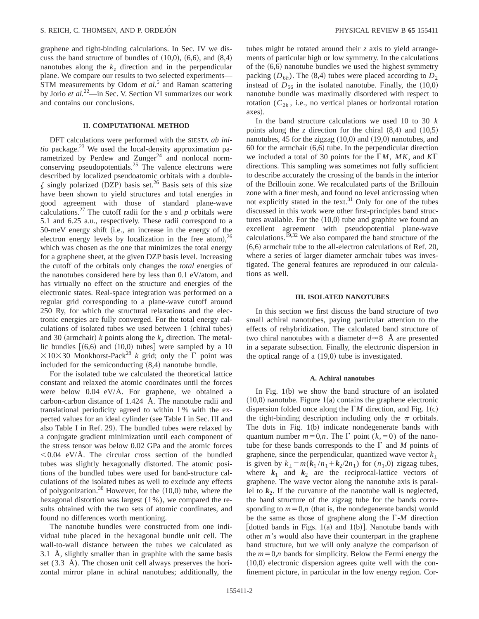graphene and tight-binding calculations. In Sec. IV we discuss the band structure of bundles of  $(10,0)$ ,  $(6,6)$ , and  $(8,4)$ nanotubes along the  $k_z$  direction and in the perpendicular plane. We compare our results to two selected experiments— STM measurements by Odom *et al.*<sup>5</sup> and Raman scattering by Jorio *et al.*22—in Sec. V. Section VI summarizes our work and contains our conclusions.

## **II. COMPUTATIONAL METHOD**

DFT calculations were performed with the SIESTA *ab initio* package.<sup>23</sup> We used the local-density approximation parametrized by Perdew and  $Zunger<sup>24</sup>$  and nonlocal normconserving pseudopotentials.<sup>25</sup> The valence electrons were described by localized pseudoatomic orbitals with a double- $\zeta$  singly polarized (DZP) basis set.<sup>26</sup> Basis sets of this size have been shown to yield structures and total energies in good agreement with those of standard plane-wave calculations.<sup>27</sup> The cutoff radii for the  $s$  and  $p$  orbitals were 5.1 and 6.25 a.u., respectively. These radii correspond to a  $50$ -meV energy shift (i.e., an increase in the energy of the electron energy levels by localization in the free atom),  $26$ which was chosen as the one that minimizes the total energy for a graphene sheet, at the given DZP basis level. Increasing the cutoff of the orbitals only changes the *total* energies of the nanotubes considered here by less than 0.1 eV/atom, and has virtually no effect on the structure and energies of the electronic states. Real-space integration was performed on a regular grid corresponding to a plane-wave cutoff around 250 Ry, for which the structural relaxations and the electronic energies are fully converged. For the total energy calculations of isolated tubes we used between  $1 ~(c$ hiral tubes) and 30 (armchair)  $k$  points along the  $k_z$  direction. The metallic bundles  $[(6,6)$  and  $(10,0)$  tubes] were sampled by a 10  $\times$ 10×30 Monkhorst-Pack<sup>28</sup> *k* grid; only the  $\Gamma$  point was included for the semiconducting  $(8,4)$  nanotube bundle.

For the isolated tube we calculated the theoretical lattice constant and relaxed the atomic coordinates until the forces were below 0.04 eV/Å. For graphene, we obtained a carbon-carbon distance of 1.424 Å. The nanotube radii and translational periodicity agreed to within 1 % with the expected values for an ideal cylinder (see Table I in Sec. III and also Table I in Ref. 29). The bundled tubes were relaxed by a conjugate gradient minimization until each component of the stress tensor was below 0.02 GPa and the atomic forces  $< 0.04$  eV/Å. The circular cross section of the bundled tubes was slightly hexagonally distorted. The atomic positions of the bundled tubes were used for band-structure calculations of the isolated tubes as well to exclude any effects of polygonization.<sup>30</sup> However, for the  $(10,0)$  tube, where the hexagonal distortion was largest (1%), we compared the results obtained with the two sets of atomic coordinates, and found no differences worth mentioning.

The nanotube bundles were constructed from one individual tube placed in the hexagonal bundle unit cell. The wall-to-wall distance between the tubes we calculated as 3.1 Å, slightly smaller than in graphite with the same basis set (3.3 Å). The chosen unit cell always preserves the horizontal mirror plane in achiral nanotubes; additionally, the tubes might be rotated around their *z* axis to yield arrangements of particular high or low symmetry. In the calculations of the  $(6,6)$  nanotube bundles we used the highest symmetry packing  $(D_{6h})$ . The  $(8,4)$  tubes were placed according to  $D_2$ instead of  $D_{56}$  in the isolated nanotube. Finally, the  $(10,0)$ nanotube bundle was maximally disordered with respect to rotation  $(C_{2h}$ , i.e., no vertical planes or horizontal rotation axes).

In the band structure calculations we used 10 to 30 *k* points along the *z* direction for the chiral  $(8,4)$  and  $(10,5)$ nanotubes, 45 for the zigzag  $(10,0)$  and  $(19,0)$  nanotubes, and 60 for the armchair  $(6,6)$  tube. In the perpendicular direction we included a total of 30 points for the  $\Gamma M$ , MK, and  $K\Gamma$ directions. This sampling was sometimes not fully sufficient to describe accurately the crossing of the bands in the interior of the Brillouin zone. We recalculated parts of the Brillouin zone with a finer mesh, and found no level anticrossing when not explicitly stated in the text.<sup>31</sup> Only for one of the tubes discussed in this work were other first-principles band structures available. For the  $(10,0)$  tube and graphite we found an excellent agreement with pseudopotential plane-wave calculations.<sup> $19,32$ </sup> We also compared the band structure of the  $(6,6)$  armchair tube to the all-electron calculations of Ref. 20, where a series of larger diameter armchair tubes was investigated. The general features are reproduced in our calculations as well.

### **III. ISOLATED NANOTUBES**

In this section we first discuss the band structure of two small achiral nanotubes, paying particular attention to the effects of rehybridization. The calculated band structure of two chiral nanotubes with a diameter  $d \approx 8$  Å are presented in a separate subsection. Finally, the electronic dispersion in the optical range of a  $(19,0)$  tube is investigated.

#### **A. Achiral nanotubes**

In Fig.  $1(b)$  we show the band structure of an isolated  $(10,0)$  nanotube. Figure 1 $(a)$  contains the graphene electronic dispersion folded once along the  $\Gamma M$  direction, and Fig. 1(c) the tight-binding description including only the  $\pi$  orbitals. The dots in Fig.  $1(b)$  indicate nondegenerate bands with quantum number  $m=0,n$ . The  $\Gamma$  point  $(k_z=0)$  of the nanotube for these bands corresponds to the  $\Gamma$  and *M* points of graphene, since the perpendicular, quantized wave vector  $k_{\perp}$ is given by  $k_{\perp} = m(k_1 / n_1 + k_2 / 2n_1)$  for  $(n_1, 0)$  zigzag tubes, where  $k_1$  and  $k_2$  are the reciprocal-lattice vectors of graphene. The wave vector along the nanotube axis is parallel to  $k<sub>2</sub>$ . If the curvature of the nanotube wall is neglected, the band structure of the zigzag tube for the bands corresponding to  $m=0,n$  (that is, the nondegenerate bands) would be the same as those of graphene along the  $\Gamma$ -*M* direction [dotted bands in Figs. 1(a) and 1(b)]. Nanotube bands with other *m*'s would also have their counterpart in the graphene band structure, but we will only analyze the comparison of the  $m=0,n$  bands for simplicity. Below the Fermi energy the  $(10,0)$  electronic dispersion agrees quite well with the confinement picture, in particular in the low energy region. Cor-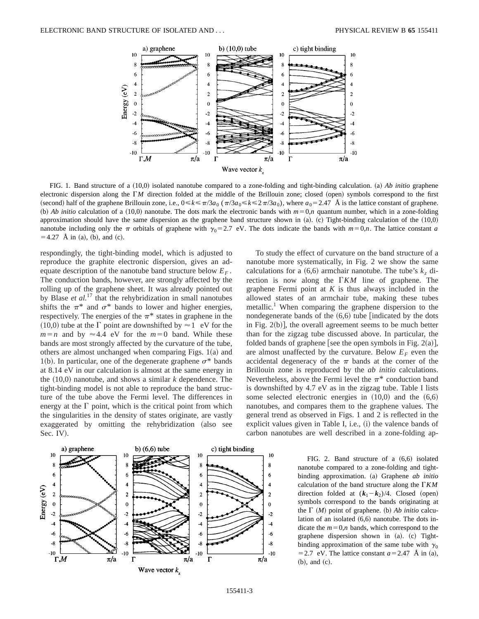

FIG. 1. Band structure of a (10,0) isolated nanotube compared to a zone-folding and tight-binding calculation. (a) *Ab initio* graphene electronic dispersion along the  $\Gamma M$  direction folded at the middle of the Brillouin zone; closed (open) symbols correspond to the first (second) half of the graphene Brillouin zone, i.e.,  $0 \le k \le \pi/3a_0$  ( $\pi/3a_0 \le k \le 2\pi/3a_0$ ), where  $a_0 = 2.47$  Å is the lattice constant of graphene. (b) *Ab initio* calculation of a (10,0) nanotube. The dots mark the electronic bands with  $m=0,n$  quantum number, which in a zone-folding approximation should have the same dispersion as the graphene band structure shown in  $(a)$ . (c) Tight-binding calculation of the  $(10,0)$ nanotube including only the  $\pi$  orbitals of graphene with  $\gamma_0=2.7$  eV. The dots indicate the bands with  $m=0,n$ . The lattice constant *a*  $=4.27$  Å in (a), (b), and (c).

respondingly, the tight-binding model, which is adjusted to reproduce the graphite electronic dispersion, gives an adequate description of the nanotube band structure below  $E_F$ . The conduction bands, however, are strongly affected by the rolling up of the graphene sheet. It was already pointed out by Blase *et al.*<sup>17</sup> that the rehybridization in small nanotubes shifts the  $\pi^*$  and  $\sigma^*$  bands to lower and higher energies, respectively. The energies of the  $\pi^*$  states in graphene in the  $(10,0)$  tube at the  $\Gamma$  point are downshifted by  $\approx 1$  eV for the  $m=n$  and by  $\approx$  4.4 eV for the  $m=0$  band. While these bands are most strongly affected by the curvature of the tube, others are almost unchanged when comparing Figs.  $1(a)$  and 1(b). In particular, one of the degenerate graphene  $\sigma^*$  bands at 8.14 eV in our calculation is almost at the same energy in the  $(10,0)$  nanotube, and shows a similar *k* dependence. The tight-binding model is not able to reproduce the band structure of the tube above the Fermi level. The differences in energy at the  $\Gamma$  point, which is the critical point from which the singularities in the density of states originate, are vastly exaggerated by omitting the rehybridization (also see Sec. IV).



To study the effect of curvature on the band structure of a nanotube more systematically, in Fig. 2 we show the same calculations for a  $(6,6)$  armchair nanotube. The tube's  $k<sub>z</sub>$  direction is now along the  $\Gamma K M$  line of graphene. The graphene Fermi point at *K* is thus always included in the allowed states of an armchair tube, making these tubes metallic.<sup>1</sup> When comparing the graphene dispersion to the nondegenerate bands of the  $(6,6)$  tube [indicated by the dots in Fig.  $2(b)$ , the overall agreement seems to be much better than for the zigzag tube discussed above. In particular, the folded bands of graphene [see the open symbols in Fig. 2(a)], are almost unaffected by the curvature. Below  $E_F$  even the accidental degeneracy of the  $\pi$  bands at the corner of the Brillouin zone is reproduced by the *ab initio* calculations. Nevertheless, above the Fermi level the  $\pi^*$  conduction band is downshifted by 4.7 eV as in the zigzag tube. Table I lists some selected electronic energies in  $(10,0)$  and the  $(6,6)$ nanotubes, and compares them to the graphene values. The general trend as observed in Figs. 1 and 2 is reflected in the explicit values given in Table I, i.e.,  $(i)$  the valence bands of carbon nanotubes are well described in a zone-folding ap-

> FIG. 2. Band structure of a  $(6,6)$  isolated nanotube compared to a zone-folding and tightbinding approximation. (a) Graphene *ab initio* calculation of the band structure along the  $\Gamma K M$ direction folded at  $(k_1-k_2)/4$ . Closed (open) symbols correspond to the bands originating at the  $\Gamma$  (*M*) point of graphene. (b) *Ab initio* calculation of an isolated  $(6,6)$  nanotube. The dots indicate the  $m=0,n$  bands, which correspond to the graphene dispersion shown in (a). (c) Tightbinding approximation of the same tube with  $\gamma_0$ = 2.7 eV. The lattice constant  $a=2.47$  Å in (a),  $(b)$ , and  $(c)$ .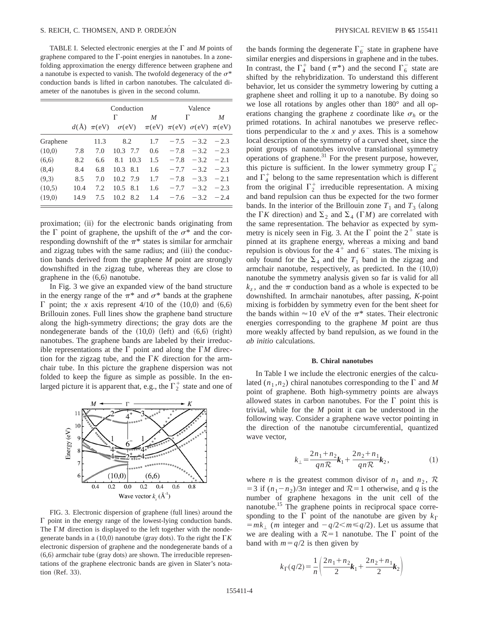TABLE I. Selected electronic energies at the  $\Gamma$  and  $M$  points of graphene compared to the  $\Gamma$ -point energies in nanotubes. In a zonefolding approximation the energy difference between graphene and a nanotube is expected to vanish. The twofold degeneracy of the  $\sigma^*$ conduction bands is lifted in carbon nanotubes. The calculated diameter of the nanotubes is given in the second column.

|          | Conduction |                       |                   |      |     | Valence                                        |        |        |  |
|----------|------------|-----------------------|-------------------|------|-----|------------------------------------------------|--------|--------|--|
|          |            | Г                     |                   |      | M   | Г                                              | M      |        |  |
|          |            | $d(\text{Å}) \pi(eV)$ | $\sigma$ (eV)     |      |     | $\pi$ (eV) $\pi$ (eV) $\sigma$ (eV) $\pi$ (eV) |        |        |  |
| Graphene |            | 11.3                  | 8.2               |      | 1.7 | $-7.5$                                         | $-3.2$ | $-2.3$ |  |
| (10,0)   | 7.8        | 7.0                   | 10.3 7.7          |      | 0.6 | $-7.8$                                         | $-3.2$ | $-2.3$ |  |
| (6,6)    | 8.2        | 6.6                   | 8.1               | 10.3 | 1.5 | $-7.8$                                         | $-3.2$ | $-2.1$ |  |
| (8,4)    | 8.4        | 6.8                   | 10.3              | 8.1  | 1.6 | $-7.7$                                         | $-3.2$ | $-2.3$ |  |
| (9,3)    | 8.5        | 7.0                   | 10.2 7.9          |      | 1.7 | $-7.8$                                         | $-3.3$ | $-2.1$ |  |
| (10.5)   | 10.4       | 7.2                   | $10.5$ 8.1        |      | 1.6 | $-7.7$                                         | $-3.2$ | $-2.3$ |  |
| (19,0)   | 14.9       | 7.5                   | 10.2 <sub>1</sub> | 8.2  | 1.4 | $-7.6$                                         | $-3.2$ | $-2.4$ |  |

proximation; (ii) for the electronic bands originating from the  $\Gamma$  point of graphene, the upshift of the  $\sigma^*$  and the corresponding downshift of the  $\pi^*$  states is similar for armchair and zigzag tubes with the same radius; and (iii) the conduction bands derived from the graphene *M* point are strongly downshifted in the zigzag tube, whereas they are close to graphene in the  $(6,6)$  nanotube.

In Fig. 3 we give an expanded view of the band structure in the energy range of the  $\pi^*$  and  $\sigma^*$  bands at the graphene  $\Gamma$  point; the *x* axis represent 4/10 of the  $(10,0)$  and  $(6,6)$ Brillouin zones. Full lines show the graphene band structure along the high-symmetry directions; the gray dots are the nondegenerate bands of the  $(10,0)$  (left) and  $(6,6)$  (right) nanotubes. The graphene bands are labeled by their irreducible representations at the  $\Gamma$  point and along the  $\Gamma M$  direction for the zigzag tube, and the  $\Gamma K$  direction for the armchair tube. In this picture the graphene dispersion was not folded to keep the figure as simple as possible. In the enlarged picture it is apparent that, e.g., the  $\Gamma_2^+$  state and one of



FIG. 3. Electronic dispersion of graphene (full lines) around the  $\Gamma$  point in the energy range of the lowest-lying conduction bands. The  $\Gamma M$  direction is displayed to the left together with the nondegenerate bands in a  $(10,0)$  nanotube (gray dots). To the right the  $\Gamma K$ electronic dispersion of graphene and the nondegenerate bands of a  $(6,6)$  armchair tube (gray dots) are shown. The irreducible representations of the graphene electronic bands are given in Slater's notation (Ref. 33).

the bands forming the degenerate  $\Gamma_6^-$  state in graphene have similar energies and dispersions in graphene and in the tubes. In contrast, the  $\Gamma_4^+$  band  $(\pi^*)$  and the second  $\Gamma_6^-$  state are shifted by the rehybridization. To understand this different behavior, let us consider the symmetry lowering by cutting a graphene sheet and rolling it up to a nanotube. By doing so we lose all rotations by angles other than 180° and all operations changing the graphene *z* coordinate like  $\sigma_h$  or the primed rotations. In achiral nanotubes we preserve reflections perpendicular to the *x* and *y* axes. This is a somehow local description of the symmetry of a curved sheet, since the point groups of nanotubes involve translational symmetry operations of graphene. $31$  For the present purpose, however, this picture is sufficient. In the lower symmetry group  $\Gamma_6^$ and  $\Gamma_4^+$  belong to the same representation which is different from the original  $\Gamma_2^+$  irreducible representation. A mixing and band repulsion can thus be expected for the two former bands. In the interior of the Brillouin zone  $T_1$  and  $T_3$  (along the  $\Gamma K$  direction) and  $\Sigma_2$  and  $\Sigma_4$  ( $\Gamma M$ ) are correlated with the same representation. The behavior as expected by symmetry is nicely seen in Fig. 3. At the  $\Gamma$  point the  $2^+$  state is pinned at its graphene energy, whereas a mixing and band repulsion is obvious for the  $4^+$  and  $6^-$  states. The mixing is only found for the  $\Sigma_4$  and the  $T_1$  band in the zigzag and armchair nanotube, respectively, as predicted. In the  $(10,0)$ nanotube the symmetry analysis given so far is valid for all  $k_z$ , and the  $\pi$  conduction band as a whole is expected to be downshifted. In armchair nanotubes, after passing, *K*-point mixing is forbidden by symmetry even for the bent sheet for the bands within  $\approx 10$  eV of the  $\pi^*$  states. Their electronic energies corresponding to the graphene *M* point are thus more weakly affected by band repulsion, as we found in the *ab initio* calculations.

### **B. Chiral nanotubes**

In Table I we include the electronic energies of the calculated  $(n_1, n_2)$  chiral nanotubes corresponding to the  $\Gamma$  and M point of graphene. Both high-symmetry points are always allowed states in carbon nanotubes. For the  $\Gamma$  point this is trivial, while for the *M* point it can be understood in the following way. Consider a graphene wave vector pointing in the direction of the nanotube circumferential, quantized wave vector,

$$
k_{\perp} = \frac{2n_1 + n_2}{qn\mathcal{R}}k_1 + \frac{2n_2 + n_1}{qn\mathcal{R}}k_2, \tag{1}
$$

where *n* is the greatest common divisor of  $n_1$  and  $n_2$ ,  $\mathcal{R}$ = 3 if  $(n_1 - n_2)/3n$  integer and  $\mathcal{R} = 1$  otherwise, and *q* is the number of graphene hexagons in the unit cell of the nanotube.<sup>15</sup> The graphene points in reciprocal space corresponding to the  $\Gamma$  point of the nanotube are given by  $k_{\Gamma}$  $=mk_{\perp}$  (*m* integer and  $-q/2 < m \leq q/2$ ). Let us assume that we are dealing with a  $\mathcal{R}=1$  nanotube. The  $\Gamma$  point of the band with  $m=q/2$  is then given by

$$
k_{\Gamma}(q/2) = \frac{1}{n} \left( \frac{2n_1 + n_2}{2} k_1 + \frac{2n_2 + n_1}{2} k_2 \right)
$$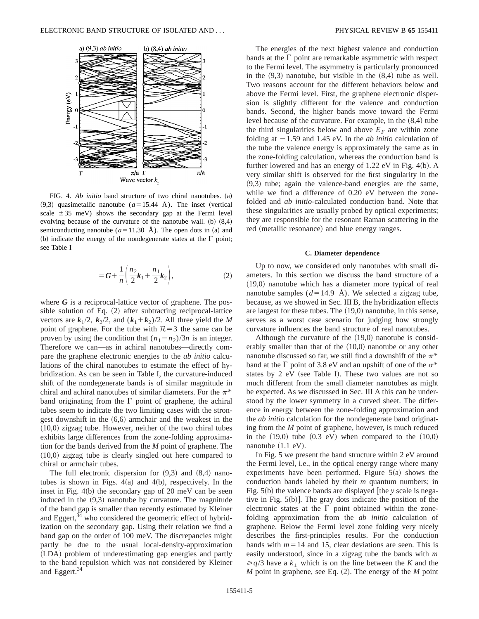

FIG. 4. *Ab initio* band structure of two chiral nanotubes. (a)  $(9,3)$  quasimetallic nanotube  $(a=15.44 \text{ Å})$ . The inset (vertical scale  $\pm 35$  meV) shows the secondary gap at the Fermi level evolving because of the curvature of the nanotube wall.  $(b)$   $(8,4)$ semiconducting nanotube  $(a=11.30 \text{ Å})$ . The open dots in (a) and (b) indicate the energy of the nondegenerate states at the  $\Gamma$  point; see Table I

$$
= G + \frac{1}{n} \left( \frac{n_2}{2} k_1 + \frac{n_1}{2} k_2 \right),
$$
 (2)

where *G* is a reciprocal-lattice vector of graphene. The possible solution of Eq.  $(2)$  after subtracting reciprocal-lattice vectors are  $k_1/2$ ,  $k_2/2$ , and  $(k_1+k_2)/2$ . All three yield the *M* point of graphene. For the tube with  $R=3$  the same can be proven by using the condition that  $(n_1 - n_2)/3n$  is an integer. Therefore we can—as in achiral nanotubes—directly compare the graphene electronic energies to the *ab initio* calculations of the chiral nanotubes to estimate the effect of hybridization. As can be seen in Table I, the curvature-induced shift of the nondegenerate bands is of similar magnitude in chiral and achiral nanotubes of similar diameters. For the  $\pi^*$ band originating from the  $\Gamma$  point of graphene, the achiral tubes seem to indicate the two limiting cases with the strongest downshift in the  $(6,6)$  armchair and the weakest in the  $(10,0)$  zigzag tube. However, neither of the two chiral tubes exhibits large differences from the zone-folding approximation for the bands derived from the *M* point of graphene. The  $(10,0)$  zigzag tube is clearly singled out here compared to chiral or armchair tubes.

The full electronic dispersion for  $(9,3)$  and  $(8,4)$  nanotubes is shown in Figs.  $4(a)$  and  $4(b)$ , respectively. In the inset in Fig.  $4(b)$  the secondary gap of 20 meV can be seen induced in the  $(9,3)$  nanotube by curvature. The magnitude of the band gap is smaller than recently estimated by Kleiner and Eggert,<sup>34</sup> who considered the geometric effect of hybridization on the secondary gap. Using their relation we find a band gap on the order of 100 meV. The discrepancies might partly be due to the usual local-density-approximation (LDA) problem of underestimating gap energies and partly to the band repulsion which was not considered by Kleiner and Eggert.<sup>34</sup>

The energies of the next highest valence and conduction bands at the  $\Gamma$  point are remarkable asymmetric with respect to the Fermi level. The asymmetry is particularly pronounced in the  $(9,3)$  nanotube, but visible in the  $(8,4)$  tube as well. Two reasons account for the different behaviors below and above the Fermi level. First, the graphene electronic dispersion is slightly different for the valence and conduction bands. Second, the higher bands move toward the Fermi level because of the curvature. For example, in the  $(8,4)$  tube the third singularities below and above  $E_F$  are within zone folding at  $-1.59$  and 1.45 eV. In the *ab initio* calculation of the tube the valence energy is approximately the same as in the zone-folding calculation, whereas the conduction band is further lowered and has an energy of  $1.22 \text{ eV}$  in Fig. 4(b). A very similar shift is observed for the first singularity in the  $(9,3)$  tube; again the valence-band energies are the same, while we find a difference of 0.20 eV between the zonefolded and *ab initio*-calculated conduction band. Note that these singularities are usually probed by optical experiments; they are responsible for the resonant Raman scattering in the red (metallic resonance) and blue energy ranges.

#### **C. Diameter dependence**

Up to now, we considered only nanotubes with small diameters. In this section we discuss the band structure of a  $(19,0)$  nanotube which has a diameter more typical of real nanotube samples  $(d=14.9 \text{ Å})$ . We selected a zigzag tube, because, as we showed in Sec. III B, the hybridization effects are largest for these tubes. The  $(19,0)$  nanotube, in this sense, serves as a worst case scenario for judging how strongly curvature influences the band structure of real nanotubes.

Although the curvature of the  $(19,0)$  nanotube is considerably smaller than that of the  $(10,0)$  nanotube or any other nanotube discussed so far, we still find a downshift of the  $\pi^*$ band at the  $\Gamma$  point of 3.8 eV and an upshift of one of the  $\sigma^*$ states by 2 eV (see Table I). These two values are not so much different from the small diameter nanotubes as might be expected. As we discussed in Sec. III A this can be understood by the lower symmetry in a curved sheet. The difference in energy between the zone-folding approximation and the *ab initio* calculation for the nondegenerate band originating from the *M* point of graphene, however, is much reduced in the  $(19,0)$  tube  $(0.3 \text{ eV})$  when compared to the  $(10,0)$ nanotube  $(1.1 \text{ eV})$ .

In Fig. 5 we present the band structure within 2 eV around the Fermi level, i.e., in the optical energy range where many experiments have been performed. Figure  $5(a)$  shows the conduction bands labeled by their *m* quantum numbers; in Fig.  $5(b)$  the valence bands are displayed [the *y* scale is negative in Fig.  $5(b)$ ]. The gray dots indicate the position of the electronic states at the  $\Gamma$  point obtained within the zonefolding approximation from the *ab initio* calculation of graphene. Below the Fermi level zone folding very nicely describes the first-principles results. For the conduction bands with  $m=14$  and 15, clear deviations are seen. This is easily understood, since in a zigzag tube the bands with *m*  $\geq q/3$  have a  $k_1$  which is on the line between the *K* and the  $M$  point in graphene, see Eq.  $(2)$ . The energy of the  $M$  point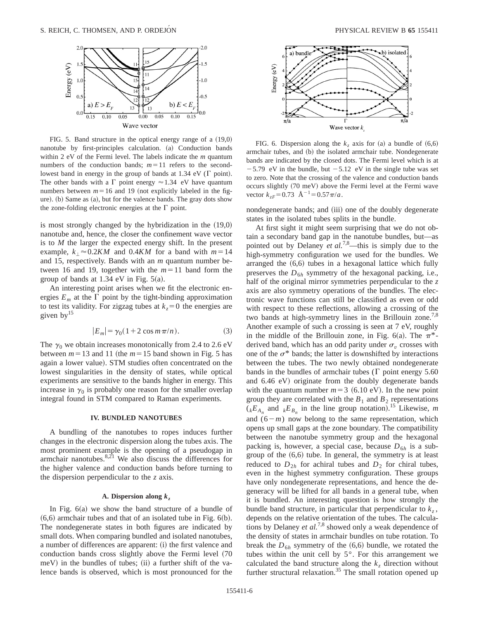

FIG. 5. Band structure in the optical energy range of a  $(19,0)$ nanotube by first-principles calculation. (a) Conduction bands within 2 eV of the Fermi level. The labels indicate the *m* quantum numbers of the conduction bands;  $m=11$  refers to the secondlowest band in energy in the group of bands at  $1.34$  eV ( $\Gamma$  point). The other bands with a  $\Gamma$  point energy  $\approx$  1.34 eV have quantum numbers between  $m=16$  and 19 (not explicitly labeled in the figure).  $(b)$  Same as  $(a)$ , but for the valence bands. The gray dots show the zone-folding electronic energies at the  $\Gamma$  point.

is most strongly changed by the hybridization in the  $(19,0)$ nanotube and, hence, the closer the confinement wave vector is to *M* the larger the expected energy shift. In the present example,  $k_{\perp} \approx 0.2KM$  and 0.4*KM* for a band with  $m=14$ and 15, respectively. Bands with an *m* quantum number between 16 and 19, together with the  $m=11$  band form the group of bands at  $1.34$  eV in Fig.  $5(a)$ .

An interesting point arises when we fit the electronic energies  $E_m$  at the  $\Gamma$  point by the tight-binding approximation to test its validity. For zigzag tubes at  $k_z = 0$  the energies are given  $by<sup>15</sup>$ 

$$
|E_m| = \gamma_0 (1 + 2 \cos m \pi / n). \tag{3}
$$

The  $\gamma_0$  we obtain increases monotonically from 2.4 to 2.6 eV between  $m=13$  and 11 (the  $m=15$  band shown in Fig. 5 has again a lower value). STM studies often concentrated on the lowest singularities in the density of states, while optical experiments are sensitive to the bands higher in energy. This increase in  $\gamma_0$  is probably one reason for the smaller overlap integral found in STM compared to Raman experiments.

#### **IV. BUNDLED NANOTUBES**

A bundling of the nanotubes to ropes induces further changes in the electronic dispersion along the tubes axis. The most prominent example is the opening of a pseudogap in armchair nanotubes. $8,21$  We also discuss the differences for the higher valence and conduction bands before turning to the dispersion perpendicular to the *z* axis.

#### **A. Dispersion along** *kz*

In Fig.  $6(a)$  we show the band structure of a bundle of  $(6,6)$  armchair tubes and that of an isolated tube in Fig.  $6(b)$ . The nondegenerate states in both figures are indicated by small dots. When comparing bundled and isolated nanotubes, a number of differences are apparent: (i) the first valence and conduction bands cross slightly above the Fermi level (70)  $meV$ ) in the bundles of tubes; (ii) a further shift of the valence bands is observed, which is most pronounced for the



FIG. 6. Dispersion along the  $k_z$  axis for (a) a bundle of  $(6,6)$ armchair tubes, and (b) the isolated armchair tube. Nondegenerate bands are indicated by the closed dots. The Fermi level which is at  $-5.79$  eV in the bundle, but  $-5.12$  eV in the single tube was set to zero. Note that the crossing of the valence and conduction bands occurs slightly (70 meV) above the Fermi level at the Fermi wave vector  $k_{zF}$ =0.73 Å<sup>-1</sup>=0.57 $\pi/a$ .

nondegenerate bands; and (iii) one of the doubly degenerate states in the isolated tubes splits in the bundle.

At first sight it might seem surprising that we do not obtain a secondary band gap in the nanotube bundles, but—as pointed out by Delaney *et al.*7,8—this is simply due to the high-symmetry configuration we used for the bundles. We arranged the  $(6,6)$  tubes in a hexagonal lattice which fully preserves the  $D_{6h}$  symmetry of the hexagonal packing, i.e., half of the original mirror symmetries perpendicular to the *z* axis are also symmetry operations of the bundles. The electronic wave functions can still be classified as even or odd with respect to these reflections, allowing a crossing of the two bands at high-symmetry lines in the Brillouin zone.<sup>7,8</sup> Another example of such a crossing is seen at 7 eV, roughly in the middle of the Brillouin zone, in Fig. 6(a). The  $\pi^*$ derived band, which has an odd parity under  $\sigma<sub>v</sub>$  crosses with one of the  $\sigma^*$  bands; the latter is downshifted by interactions between the tubes. The two newly obtained nondegenerate bands in the bundles of armchair tubes ( $\Gamma$  point energy 5.60 and 6.46 eV) originate from the doubly degenerate bands with the quantum number  $m=3$  (6.10 eV). In the new point group they are correlated with the  $B_1$  and  $B_2$  representations  $(k_{A_n}^{E_{A_n}}$  and  $k_{B_n}^{E_{B_n}}$  in the line group notation).<sup>15</sup> Likewise, *m* and  $(6-m)$  now belong to the same representation, which opens up small gaps at the zone boundary. The compatibility between the nanotube symmetry group and the hexagonal packing is, however, a special case, because  $D_{6h}$  is a subgroup of the  $(6,6)$  tube. In general, the symmetry is at least reduced to  $D_{2h}$  for achiral tubes and  $D_2$  for chiral tubes, even in the highest symmetry configuration. These groups have only nondegenerate representations, and hence the degeneracy will be lifted for all bands in a general tube, when it is bundled. An interesting question is how strongly the bundle band structure, in particular that perpendicular to  $k_z$ , depends on the relative orientation of the tubes. The calculations by Delaney *et al.*7,8 showed only a weak dependence of the density of states in armchair bundles on tube rotation. To break the  $D_{6h}$  symmetry of the  $(6,6)$  bundle, we rotated the tubes within the unit cell by 5°. For this arrangement we calculated the band structure along the  $k<sub>z</sub>$  direction without further structural relaxation.<sup>35</sup> The small rotation opened up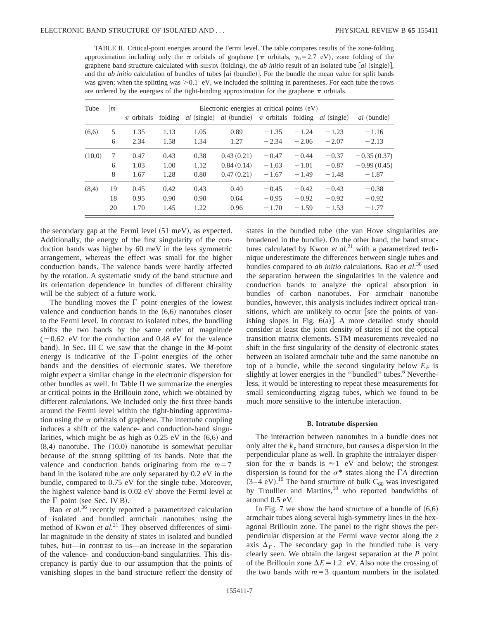TABLE II. Critical-point energies around the Fermi level. The table compares results of the zone-folding approximation including only the  $\pi$  orbitals of graphene ( $\pi$  orbitals,  $\gamma_0$ =2.7 eV), zone folding of the graphene band structure calculated with SIESTA (folding), the *ab initio* result of an isolated tube  $[ai$  (single)], and the *ab initio* calculation of bundles of tubes [*ai* (bundle)]. For the bundle the mean value for split bands was given; when the splitting was  $> 0.1$  eV, we included the splitting in parentheses. For each tube the rows are ordered by the energies of the tight-binding approximation for the graphene  $\pi$  orbitals.

| Tube   | m  | Electronic energies at critical points (eV) |         |      |                                                                                 |         |         |         |                    |  |
|--------|----|---------------------------------------------|---------|------|---------------------------------------------------------------------------------|---------|---------|---------|--------------------|--|
|        |    | $\pi$ orbitals                              | folding |      | <i>ai</i> (single) <i>ai</i> (bundle) $\pi$ orbitals folding <i>ai</i> (single) |         |         |         | <i>ai</i> (bundle) |  |
| (6,6)  | 5  | 1.35                                        | 1.13    | 1.05 | 0.89                                                                            | $-1.35$ | $-1.24$ | $-1.23$ | $-1.16$            |  |
|        | 6  | 2.34                                        | 1.58    | 1.34 | 1.27                                                                            | $-2.34$ | $-2.06$ | $-2.07$ | $-2.13$            |  |
| (10,0) | 7  | 0.47                                        | 0.43    | 0.38 | 0.43(0.21)                                                                      | $-0.47$ | $-0.44$ | $-0.37$ | $-0.35(0.37)$      |  |
|        | 6  | 1.03                                        | 1.00    | 1.12 | 0.84(0.14)                                                                      | $-1.03$ | $-1.01$ | $-0.87$ | $-0.99(0.45)$      |  |
|        | 8  | 1.67                                        | 1.28    | 0.80 | 0.47(0.21)                                                                      | $-1.67$ | $-1.49$ | $-1.48$ | $-1.87$            |  |
| (8,4)  | 19 | 0.45                                        | 0.42    | 0.43 | 0.40                                                                            | $-0.45$ | $-0.42$ | $-0.43$ | $-0.38$            |  |
|        | 18 | 0.95                                        | 0.90    | 0.90 | 0.64                                                                            | $-0.95$ | $-0.92$ | $-0.92$ | $-0.92$            |  |
|        | 20 | 1.70                                        | 1.45    | 1.22 | 0.96                                                                            | $-1.70$ | $-1.59$ | $-1.53$ | $-1.77$            |  |

the secondary gap at the Fermi level  $(51 \text{ meV})$ , as expected. Additionally, the energy of the first singularity of the conduction bands was higher by 60 meV in the less symmetric arrangement, whereas the effect was small for the higher conduction bands. The valence bands were hardly affected by the rotation. A systematic study of the band structure and its orientation dependence in bundles of different chirality will be the subject of a future work.

The bundling moves the  $\Gamma$  point energies of the lowest valence and conduction bands in the  $(6,6)$  nanotubes closer to the Fermi level. In contrast to isolated tubes, the bundling shifts the two bands by the same order of magnitude  $(-0.62 \text{ eV}$  for the conduction and 0.48 eV for the valence band). In Sec. III C we saw that the change in the *M*-point energy is indicative of the  $\Gamma$ -point energies of the other bands and the densities of electronic states. We therefore might expect a similar change in the electronic dispersion for other bundles as well. In Table II we summarize the energies at critical points in the Brillouin zone, which we obtained by different calculations. We included only the first three bands around the Fermi level within the tight-binding approximation using the  $\pi$  orbitals of graphene. The intertube coupling induces a shift of the valence- and conduction-band singularities, which might be as high as  $0.25$  eV in the  $(6,6)$  and  $(8,4)$  nanotube. The  $(10,0)$  nanotube is somewhat peculiar because of the strong splitting of its bands. Note that the valence and conduction bands originating from the  $m=7$ band in the isolated tube are only separated by 0.2 eV in the bundle, compared to 0.75 eV for the single tube. Moreover, the highest valence band is 0.02 eV above the Fermi level at the  $\Gamma$  point (see Sec. IV B).

Rao *et al.*<sup>36</sup> recently reported a parametrized calculation of isolated and bundled armchair nanotubes using the method of Kwon *et al.*<sup>21</sup> They observed differences of similar magnitude in the density of states in isolated and bundled tubes, but—in contrast to us—an increase in the separation of the valence- and conduction-band singularities. This discrepancy is partly due to our assumption that the points of vanishing slopes in the band structure reflect the density of states in the bundled tube (the van Hove singularities are broadened in the bundle). On the other hand, the band structures calculated by Kwon *et al.*<sup>21</sup> with a parametrized technique underestimate the differences between single tubes and bundles compared to *ab initio* calculations. Rao *et al.*<sup>36</sup> used the separation between the singularities in the valence and conduction bands to analyze the optical absorption in bundles of carbon nanotubes. For armchair nanotube bundles, however, this analysis includes indirect optical transitions, which are unlikely to occur [see the points of vanishing slopes in Fig.  $6(a)$ ]. A more detailed study should consider at least the joint density of states if not the optical transition matrix elements. STM measurements revealed no shift in the first singularity of the density of electronic states between an isolated armchair tube and the same nanotube on top of a bundle, while the second singularity below  $E_F$  is slightly at lower energies in the "bundled" tubes.<sup>6</sup> Nevertheless, it would be interesting to repeat these measurements for small semiconducting zigzag tubes, which we found to be much more sensitive to the intertube interaction.

#### **B. Intratube dispersion**

The interaction between nanotubes in a bundle does not only alter the  $k_z$  band structure, but causes a dispersion in the perpendicular plane as well. In graphite the intralayer dispersion for the  $\pi$  bands is  $\approx$  1 eV and below; the strongest dispersion is found for the  $\sigma^*$  states along the  $\Gamma A$  direction  $(3-4 \text{ eV})$ .<sup>19</sup> The band structure of bulk C<sub>60</sub> was investigated by Troullier and Martins,<sup>18</sup> who reported bandwidths of around 0.5 eV.

In Fig. 7 we show the band structure of a bundle of  $(6,6)$ armchair tubes along several high-symmetry lines in the hexagonal Brillouin zone. The panel to the right shows the perpendicular dispersion at the Fermi wave vector along the *z* axis  $\Delta_F$ . The secondary gap in the bundled tube is very clearly seen. We obtain the largest separation at the *P* point of the Brillouin zone  $\Delta E = 1.2$  eV. Also note the crossing of the two bands with  $m=3$  quantum numbers in the isolated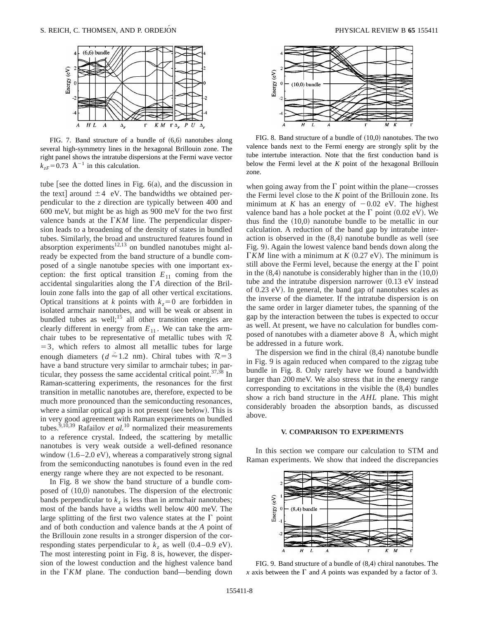

FIG. 7. Band structure of a bundle of  $(6,6)$  nanotubes along several high-symmetry lines in the hexagonal Brillouin zone. The right panel shows the intratube dispersions at the Fermi wave vector  $k_{zF}$ =0.73 Å<sup>-1</sup> in this calculation.

tube [see the dotted lines in Fig.  $6(a)$ , and the discussion in the text] around  $\pm 4$  eV. The bandwidths we obtained perpendicular to the *z* direction are typically between 400 and 600 meV, but might be as high as 900 meV for the two first valence bands at the  $\Gamma K M$  line. The perpendicular dispersion leads to a broadening of the density of states in bundled tubes. Similarly, the broad and unstructured features found in absorption experiments<sup>12,13</sup> on bundled nanotubes might already be expected from the band structure of a bundle composed of a single nanotube species with one important exception: the first optical transition  $E_{11}$  coming from the accidental singularities along the  $\Gamma A$  direction of the Brillouin zone falls into the gap of all other vertical excitations. Optical transitions at *k* points with  $k_z=0$  are forbidden in isolated armchair nanotubes, and will be weak or absent in bundled tubes as well;<sup>15</sup> all other transition energies are clearly different in energy from  $E_{11}$ . We can take the armchair tubes to be representative of metallic tubes with  $\mathcal R$  $=$  3, which refers to almost all metallic tubes for large enough diameters ( $d \approx 1.2$  nm). Chiral tubes with  $R=3$ have a band structure very similar to armchair tubes; in particular, they possess the same accidental critical point. $37,38$  In Raman-scattering experiments, the resonances for the first transition in metallic nanotubes are, therefore, expected to be much more pronounced than the semiconducting resonances, where a similar optical gap is not present (see below). This is in very good agreement with Raman experiments on bundled tubes.<sup>9,10,39</sup> Rafailov *et al.*<sup>10</sup> normalized their measurements to a reference crystal. Indeed, the scattering by metallic nanotubes is very weak outside a well-defined resonance window  $(1.6-2.0 \text{ eV})$ , whereas a comparatively strong signal from the semiconducting nanotubes is found even in the red energy range where they are not expected to be resonant.

In Fig. 8 we show the band structure of a bundle composed of  $(10,0)$  nanotubes. The dispersion of the electronic bands perpendicular to  $k_z$  is less than in armchair nanotubes; most of the bands have a widths well below 400 meV. The large splitting of the first two valence states at the  $\Gamma$  point and of both conduction and valence bands at the *A* point of the Brillouin zone results in a stronger dispersion of the corresponding states perpendicular to  $k_z$  as well  $(0.4-0.9 \text{ eV})$ . The most interesting point in Fig. 8 is, however, the dispersion of the lowest conduction and the highest valence band in the  $\Gamma K M$  plane. The conduction band—bending down



FIG. 8. Band structure of a bundle of  $(10,0)$  nanotubes. The two valence bands next to the Fermi energy are strongly split by the tube intertube interaction. Note that the first conduction band is below the Fermi level at the *K* point of the hexagonal Brillouin zone.

when going away from the  $\Gamma$  point within the plane—crosses the Fermi level close to the *K* point of the Brillouin zone. Its minimum at *K* has an energy of  $-0.02$  eV. The highest valence band has a hole pocket at the  $\Gamma$  point (0.02 eV). We thus find the  $(10,0)$  nanotube bundle to be metallic in our calculation. A reduction of the band gap by intratube interaction is observed in the  $(8,4)$  nanotube bundle as well (see Fig. 9). Again the lowest valence band bends down along the  $\Gamma$ *KM* line with a minimum at *K* (0.27 eV). The minimum is still above the Fermi level, because the energy at the  $\Gamma$  point in the  $(8,4)$  nanotube is considerably higher than in the  $(10,0)$ tube and the intratube dispersion narrower  $(0.13 \text{ eV}$  instead of  $0.23$  eV). In general, the band gap of nanotubes scales as the inverse of the diameter. If the intratube dispersion is on the same order in larger diameter tubes, the spanning of the gap by the interaction between the tubes is expected to occur as well. At present, we have no calculation for bundles composed of nanotubes with a diameter above  $8\text{ Å}$ , which might be addressed in a future work.

The dispersion we find in the chiral  $(8,4)$  nanotube bundle in Fig. 9 is again reduced when compared to the zigzag tube bundle in Fig. 8. Only rarely have we found a bandwidth larger than 200 meV. We also stress that in the energy range corresponding to excitations in the visible the  $(8,4)$  bundles show a rich band structure in the *AHL* plane. This might considerably broaden the absorption bands, as discussed above.

### **V. COMPARISON TO EXPERIMENTS**

In this section we compare our calculation to STM and Raman experiments. We show that indeed the discrepancies



FIG. 9. Band structure of a bundle of  $(8,4)$  chiral nanotubes. The *x* axis between the  $\Gamma$  and *A* points was expanded by a factor of 3.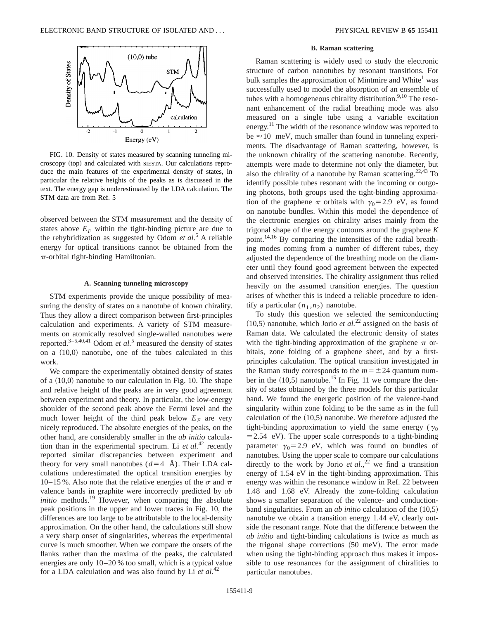

FIG. 10. Density of states measured by scanning tunneling microscopy (top) and calculated with SIESTA. Our calculations reproduce the main features of the experimental density of states, in particular the relative heights of the peaks as is discussed in the text. The energy gap is underestimated by the LDA calculation. The STM data are from Ref. 5

observed between the STM measurement and the density of states above  $E_F$  within the tight-binding picture are due to the rehybridization as suggested by Odom *et al.*<sup>5</sup> A reliable energy for optical transitions cannot be obtained from the  $\pi$ -orbital tight-binding Hamiltonian.

### **A. Scanning tunneling microscopy**

STM experiments provide the unique possibility of measuring the density of states on a nanotube of known chirality. Thus they allow a direct comparison between first-principles calculation and experiments. A variety of STM measurements on atomically resolved single-walled nanotubes were reported.<sup>3–5,40,41</sup> Odom *et al.*<sup>5</sup> measured the density of states on a  $(10,0)$  nanotube, one of the tubes calculated in this work.

We compare the experimentally obtained density of states of a  $(10,0)$  nanotube to our calculation in Fig. 10. The shape and relative height of the peaks are in very good agreement between experiment and theory. In particular, the low-energy shoulder of the second peak above the Fermi level and the much lower height of the third peak below  $E_F$  are very nicely reproduced. The absolute energies of the peaks, on the other hand, are considerably smaller in the *ab initio* calculation than in the experimental spectrum. Li *et al.*<sup>42</sup> recently reported similar discrepancies between experiment and theory for very small nanotubes  $(d=4 \text{ Å})$ . Their LDA calculations underestimated the optical transition energies by 10–15 %. Also note that the relative energies of the  $\sigma$  and  $\pi$ valence bands in graphite were incorrectly predicted by *ab initio* methods.<sup>19</sup> However, when comparing the absolute peak positions in the upper and lower traces in Fig. 10, the differences are too large to be attributable to the local-density approximation. On the other hand, the calculations still show a very sharp onset of singularities, whereas the experimental curve is much smoother. When we compare the onsets of the flanks rather than the maxima of the peaks, the calculated energies are only 10–20 % too small, which is a typical value for a LDA calculation and was also found by Li *et al.*<sup>42</sup>

#### **B. Raman scattering**

Raman scattering is widely used to study the electronic structure of carbon nanotubes by resonant transitions. For bulk samples the approximation of Mintmire and White<sup>1</sup> was successfully used to model the absorption of an ensemble of tubes with a homogeneous chirality distribution.<sup>9,10</sup> The resonant enhancement of the radial breathing mode was also measured on a single tube using a variable excitation energy.<sup>11</sup> The width of the resonance window was reported to be  $\approx 10$  meV, much smaller than found in tunneling experiments. The disadvantage of Raman scattering, however, is the unknown chirality of the scattering nanotube. Recently, attempts were made to determine not only the diameter, but also the chirality of a nanotube by Raman scattering.<sup>22,43</sup> To identify possible tubes resonant with the incoming or outgoing photons, both groups used the tight-binding approximation of the graphene  $\pi$  orbitals with  $\gamma_0=2.9$  eV, as found on nanotube bundles. Within this model the dependence of the electronic energies on chirality arises mainly from the trigonal shape of the energy contours around the graphene *K* point.14,16 By comparing the intensities of the radial breathing modes coming from a number of different tubes, they adjusted the dependence of the breathing mode on the diameter until they found good agreement between the expected and observed intensities. The chirality assignment thus relied heavily on the assumed transition energies. The question arises of whether this is indeed a reliable procedure to identify a particular  $(n_1, n_2)$  nanotube.

To study this question we selected the semiconducting  $(10,5)$  nanotube, which Jorio *et al.*<sup>22</sup> assigned on the basis of Raman data. We calculated the electronic density of states with the tight-binding approximation of the graphene  $\pi$  orbitals, zone folding of a graphene sheet, and by a firstprinciples calculation. The optical transition investigated in the Raman study corresponds to the  $m = \pm 24$  quantum number in the  $(10,5)$  nanotube.<sup>15</sup> In Fig. 11 we compare the density of states obtained by the three models for this particular band. We found the energetic position of the valence-band singularity within zone folding to be the same as in the full calculation of the  $(10,5)$  nanotube. We therefore adjusted the tight-binding approximation to yield the same energy ( $\gamma_0$ )  $=$  2.54 eV). The upper scale corresponds to a tight-binding parameter  $\gamma_0$ =2.9 eV, which was found on bundles of nanotubes. Using the upper scale to compare our calculations directly to the work by Jorio *et al.*,<sup>22</sup> we find a transition energy of 1.54 eV in the tight-binding approximation. This energy was within the resonance window in Ref. 22 between 1.48 and 1.68 eV. Already the zone-folding calculation shows a smaller separation of the valence- and conductionband singularities. From an *ab initio* calculation of the  $(10,5)$ nanotube we obtain a transition energy 1.44 eV, clearly outside the resonant range. Note that the difference between the *ab initio* and tight-binding calculations is twice as much as the trigonal shape corrections  $(50 \text{ meV})$ . The error made when using the tight-binding approach thus makes it impossible to use resonances for the assignment of chiralities to particular nanotubes.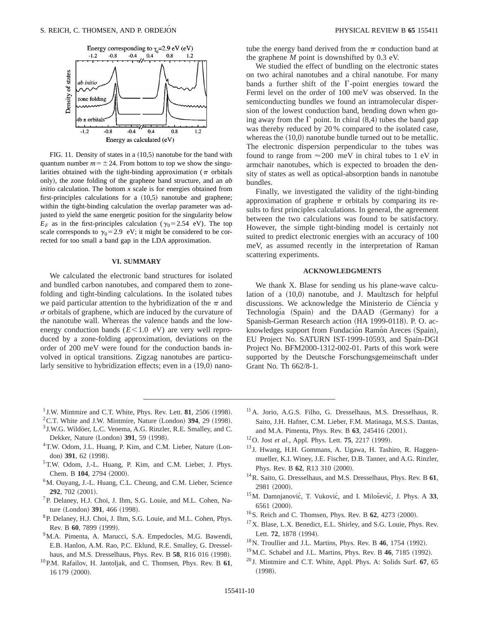

FIG. 11. Density of states in a  $(10,5)$  nanotube for the band with quantum number  $m = \pm 24$ . From bottom to top we show the singularities obtained with the tight-binding approximation ( $\pi$  orbitals only), the zone folding of the graphene band structure, and an *ab initio* calculation. The bottom *x* scale is for energies obtained from first-principles calculations for a  $(10,5)$  nanotube and graphene; within the tight-binding calculation the overlap parameter was adjusted to yield the same energetic position for the singularity below  $E_F$  as in the first-principles calculation ( $\gamma_0$ =2.54 eV). The top scale corresponds to  $\gamma_0$ =2.9 eV; it might be considered to be corrected for too small a band gap in the LDA approximation.

## **VI. SUMMARY**

We calculated the electronic band structures for isolated and bundled carbon nanotubes, and compared them to zonefolding and tight-binding calculations. In the isolated tubes we paid particular attention to the hybridization of the  $\pi$  and  $\sigma$  orbitals of graphene, which are induced by the curvature of the nanotube wall. Whereas the valence bands and the lowenergy conduction bands  $(E<1.0$  eV) are very well reproduced by a zone-folding approximation, deviations on the order of 200 meV were found for the conduction bands involved in optical transitions. Zigzag nanotubes are particularly sensitive to hybridization effects; even in a  $(19,0)$  nanotube the energy band derived from the  $\pi$  conduction band at the graphene *M* point is downshifted by 0.3 eV.

We studied the effect of bundling on the electronic states on two achiral nanotubes and a chiral nanotube. For many bands a further shift of the  $\Gamma$ -point energies toward the Fermi level on the order of 100 meV was observed. In the semiconducting bundles we found an intramolecular dispersion of the lowest conduction band, bending down when going away from the  $\Gamma$  point. In chiral (8,4) tubes the band gap was thereby reduced by 20 % compared to the isolated case, whereas the  $(10,0)$  nanotube bundle turned out to be metallic. The electronic dispersion perpendicular to the tubes was found to range from  $\approx 200$  meV in chiral tubes to 1 eV in armchair nanotubes, which is expected to broaden the density of states as well as optical-absorption bands in nanotube bundles.

Finally, we investigated the validity of the tight-binding approximation of graphene  $\pi$  orbitals by comparing its results to first principles calculations. In general, the agreement between the two calculations was found to be satisfactory. However, the simple tight-binding model is certainly not suited to predict electronic energies with an accuracy of 100 meV, as assumed recently in the interpretation of Raman scattering experiments.

## **ACKNOWLEDGMENTS**

We thank X. Blase for sending us his plane-wave calculation of a  $(10,0)$  nanotube, and J. Maultzsch for helpful discussions. We acknowledge the Ministerio de Ciéncia y Technología (Spain) and the DAAD (Germany) for a Spanish-German Research action (HA 1999-0118). P. O. acknowledges support from Fundación Ramón Areces (Spain), EU Project No. SATURN IST-1999-10593, and Spain-DGI Project No. BFM2000-1312-002-01. Parts of this work were supported by the Deutsche Forschungsgemeinschaft under Grant No. Th 662/8-1.

- $1$  J.W. Mintmire and C.T. White, Phys. Rev. Lett.  $81$ , 2506 (1998).
- ${}^{2}$ C.T. White and J.W. Mintmire, Nature (London) **394**, 29 (1998).
- <sup>3</sup> J.W.G. Wildöer, L.C. Venema, A.G. Rinzler, R.E. Smalley, and C. Dekker, Nature (London) 391, 59 (1998).
- <sup>4</sup>T.W. Odom, J.L. Huang, P. Kim, and C.M. Lieber, Nature (London) 391, 62 (1998).
- 5T.W. Odom, J.-L. Huang, P. Kim, and C.M. Lieber, J. Phys. Chem. B 104, 2794 (2000).
- 6M. Ouyang, J.-L. Huang, C.L. Cheung, and C.M. Lieber, Science **292.** 702 (2001).
- <sup>7</sup>P. Delaney, H.J. Choi, J. Ihm, S.G. Louie, and M.L. Cohen, Nature (London) 391, 466 (1998).
- 8P. Delaney, H.J. Choi, J. Ihm, S.G. Louie, and M.L. Cohen, Phys. Rev. B 60, 7899 (1999).
- <sup>9</sup>M.A. Pimenta, A. Marucci, S.A. Empedocles, M.G. Bawendi, E.B. Hanlon, A.M. Rao, P.C. Eklund, R.E. Smalley, G. Dresselhaus, and M.S. Dresselhaus, Phys. Rev. B 58, R16 016 (1998).
- 10P.M. Rafailov, H. Jantoljak, and C. Thomsen, Phys. Rev. B **61**, 16 179 (2000).
- 11A. Jorio, A.G.S. Filho, G. Dresselhaus, M.S. Dresselhaus, R. Saito, J.H. Hafner, C.M. Lieber, F.M. Matinaga, M.S.S. Dantas, and M.A. Pimenta, Phys. Rev. B 63, 245416 (2001).
- <sup>12</sup>O. Jost *et al.*, Appl. Phys. Lett. **75**, 2217 (1999).
- <sup>13</sup> J. Hwang, H.H. Gommans, A. Ugawa, H. Tashiro, R. Haggenmueller, K.I. Winey, J.E. Fischer, D.B. Tanner, and A.G. Rinzler, Phys. Rev. B 62, R13 310 (2000).
- 14R. Saito, G. Dresselhaus, and M.S. Dresselhaus, Phys. Rev. B **61**, 2981 (2000).
- <sup>15</sup>M. Damnjanović, T. Vuković, and I. Milošević, J. Phys. A 33,  $6561 (2000).$
- <sup>16</sup>S. Reich and C. Thomsen, Phys. Rev. B **62**, 4273 (2000).
- <sup>17</sup>X. Blase, L.X. Benedict, E.L. Shirley, and S.G. Louie, Phys. Rev. Lett. **72**, 1878 (1994).
- <sup>18</sup>N. Troullier and J.L. Martins, Phys. Rev. B 46, 1754 (1992).
- <sup>19</sup> M.C. Schabel and J.L. Martins, Phys. Rev. B 46, 7185 (1992).
- <sup>20</sup> J. Mintmire and C.T. White, Appl. Phys. A: Solids Surf. **67**, 65  $(1998).$